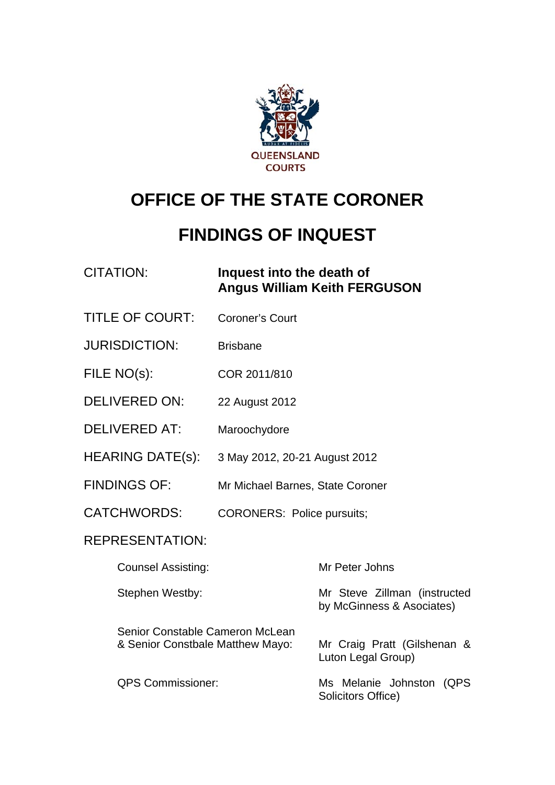

# **OFFICE OF THE STATE CORONER**

# **FINDINGS OF INQUEST**

### CITATION: **Inquest into the death of Angus William Keith FERGUSON**

- TITLE OF COURT: Coroner's Court
- JURISDICTION: Brisbane
- FILE NO(s): COR 2011/810
- DELIVERED ON: 22 August 2012
- DELIVERED AT: Maroochydore
- HEARING DATE(s): 3 May 2012, 20-21 August 2012
- FINDINGS OF: Mr Michael Barnes, State Coroner
- CATCHWORDS: CORONERS: Police pursuits;

#### REPRESENTATION:

| <b>Counsel Assisting:</b>                                           | Mr Peter Johns                                            |
|---------------------------------------------------------------------|-----------------------------------------------------------|
| Stephen Westby:                                                     | Mr Steve Zillman (instructed<br>by McGinness & Asociates) |
| Senior Constable Cameron McLean<br>& Senior Constbale Matthew Mayo: | Mr Craig Pratt (Gilshenan &<br>Luton Legal Group)         |
| <b>QPS Commissioner:</b>                                            | Ms Melanie Johnston<br>(QPS)<br>Solicitors Office)        |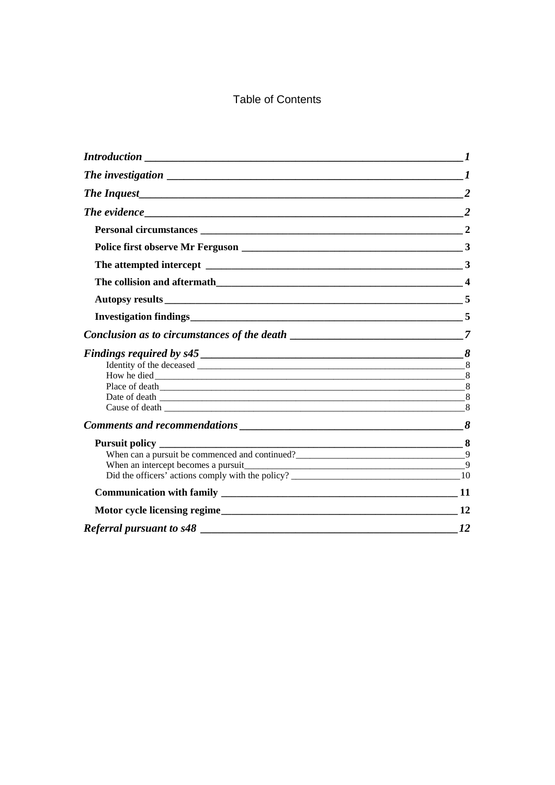### Table of Contents

| <b>Introduction</b>                                                                                                                                                                                                                 |                |
|-------------------------------------------------------------------------------------------------------------------------------------------------------------------------------------------------------------------------------------|----------------|
| The investigation $\sqrt{1 + \frac{1}{2} \left( \frac{1}{2} + \frac{1}{2} \right)^2}$                                                                                                                                               |                |
|                                                                                                                                                                                                                                     |                |
|                                                                                                                                                                                                                                     | $\overline{2}$ |
|                                                                                                                                                                                                                                     |                |
|                                                                                                                                                                                                                                     |                |
|                                                                                                                                                                                                                                     |                |
|                                                                                                                                                                                                                                     |                |
|                                                                                                                                                                                                                                     |                |
|                                                                                                                                                                                                                                     |                |
|                                                                                                                                                                                                                                     |                |
|                                                                                                                                                                                                                                     |                |
|                                                                                                                                                                                                                                     |                |
|                                                                                                                                                                                                                                     |                |
|                                                                                                                                                                                                                                     |                |
|                                                                                                                                                                                                                                     |                |
| <b>Comments and recommendations</b> example that the set of the set of the set of the set of the set of the set of the set of the set of the set of the set of the set of the set of the set of the set of the set of the set of th |                |
|                                                                                                                                                                                                                                     |                |
| When can a pursuit be commenced and continued?<br>29                                                                                                                                                                                |                |
| When an intercept becomes a pursuit<br>9                                                                                                                                                                                            |                |
|                                                                                                                                                                                                                                     |                |
|                                                                                                                                                                                                                                     |                |
| Motor cycle licensing regime<br>12                                                                                                                                                                                                  |                |
|                                                                                                                                                                                                                                     | <i>12</i>      |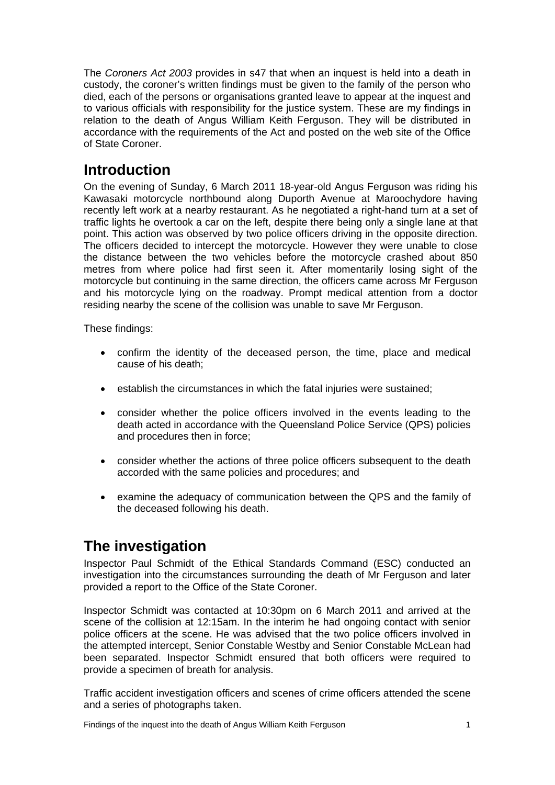The *Coroners Act 2003* provides in s47 that when an inquest is held into a death in custody, the coroner's written findings must be given to the family of the person who died, each of the persons or organisations granted leave to appear at the inquest and to various officials with responsibility for the justice system. These are my findings in relation to the death of Angus William Keith Ferguson. They will be distributed in accordance with the requirements of the Act and posted on the web site of the Office of State Coroner.

## <span id="page-2-0"></span>**Introduction**

On the evening of Sunday, 6 March 2011 18-year-old Angus Ferguson was riding his Kawasaki motorcycle northbound along Duporth Avenue at Maroochydore having recently left work at a nearby restaurant. As he negotiated a right-hand turn at a set of traffic lights he overtook a car on the left, despite there being only a single lane at that point. This action was observed by two police officers driving in the opposite direction. The officers decided to intercept the motorcycle. However they were unable to close the distance between the two vehicles before the motorcycle crashed about 850 metres from where police had first seen it. After momentarily losing sight of the motorcycle but continuing in the same direction, the officers came across Mr Ferguson and his motorcycle lying on the roadway. Prompt medical attention from a doctor residing nearby the scene of the collision was unable to save Mr Ferguson.

These findings:

- confirm the identity of the deceased person, the time, place and medical cause of his death;
- establish the circumstances in which the fatal injuries were sustained;
- consider whether the police officers involved in the events leading to the death acted in accordance with the Queensland Police Service (QPS) policies and procedures then in force;
- consider whether the actions of three police officers subsequent to the death accorded with the same policies and procedures; and
- examine the adequacy of communication between the QPS and the family of the deceased following his death.

# <span id="page-2-1"></span>**The investigation**

Inspector Paul Schmidt of the Ethical Standards Command (ESC) conducted an investigation into the circumstances surrounding the death of Mr Ferguson and later provided a report to the Office of the State Coroner.

Inspector Schmidt was contacted at 10:30pm on 6 March 2011 and arrived at the scene of the collision at 12:15am. In the interim he had ongoing contact with senior police officers at the scene. He was advised that the two police officers involved in the attempted intercept, Senior Constable Westby and Senior Constable McLean had been separated. Inspector Schmidt ensured that both officers were required to provide a specimen of breath for analysis.

<span id="page-2-2"></span>Traffic accident investigation officers and scenes of crime officers attended the scene and a series of photographs taken.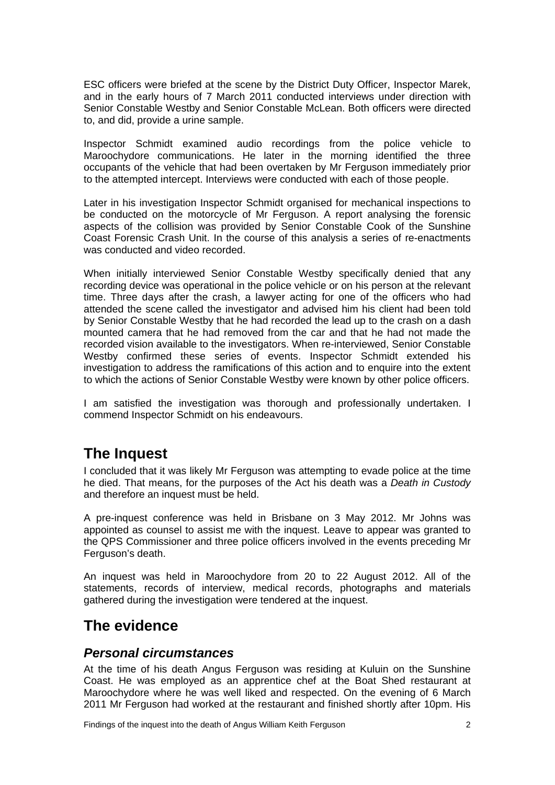ESC officers were briefed at the scene by the District Duty Officer, Inspector Marek, and in the early hours of 7 March 2011 conducted interviews under direction with Senior Constable Westby and Senior Constable McLean. Both officers were directed to, and did, provide a urine sample.

Inspector Schmidt examined audio recordings from the police vehicle to Maroochydore communications. He later in the morning identified the three occupants of the vehicle that had been overtaken by Mr Ferguson immediately prior to the attempted intercept. Interviews were conducted with each of those people.

Later in his investigation Inspector Schmidt organised for mechanical inspections to be conducted on the motorcycle of Mr Ferguson. A report analysing the forensic aspects of the collision was provided by Senior Constable Cook of the Sunshine Coast Forensic Crash Unit. In the course of this analysis a series of re-enactments was conducted and video recorded.

When initially interviewed Senior Constable Westby specifically denied that any recording device was operational in the police vehicle or on his person at the relevant time. Three days after the crash, a lawyer acting for one of the officers who had attended the scene called the investigator and advised him his client had been told by Senior Constable Westby that he had recorded the lead up to the crash on a dash mounted camera that he had removed from the car and that he had not made the recorded vision available to the investigators. When re-interviewed, Senior Constable Westby confirmed these series of events. Inspector Schmidt extended his investigation to address the ramifications of this action and to enquire into the extent to which the actions of Senior Constable Westby were known by other police officers.

I am satisfied the investigation was thorough and professionally undertaken. I commend Inspector Schmidt on his endeavours.

# <span id="page-3-0"></span>**The Inquest**

I concluded that it was likely Mr Ferguson was attempting to evade police at the time he died. That means, for the purposes of the Act his death was a *Death in Custody* and therefore an inquest must be held.

A pre-inquest conference was held in Brisbane on 3 May 2012. Mr Johns was appointed as counsel to assist me with the inquest. Leave to appear was granted to the QPS Commissioner and three police officers involved in the events preceding Mr Ferguson's death.

An inquest was held in Maroochydore from 20 to 22 August 2012. All of the statements, records of interview, medical records, photographs and materials gathered during the investigation were tendered at the inquest.

# <span id="page-3-1"></span>**The evidence**

#### <span id="page-3-2"></span>*Personal circumstances*

At the time of his death Angus Ferguson was residing at Kuluin on the Sunshine Coast. He was employed as an apprentice chef at the Boat Shed restaurant at Maroochydore where he was well liked and respected. On the evening of 6 March 2011 Mr Ferguson had worked at the restaurant and finished shortly after 10pm. His

Findings of the inquest into the death of Angus William Keith Ferguson 2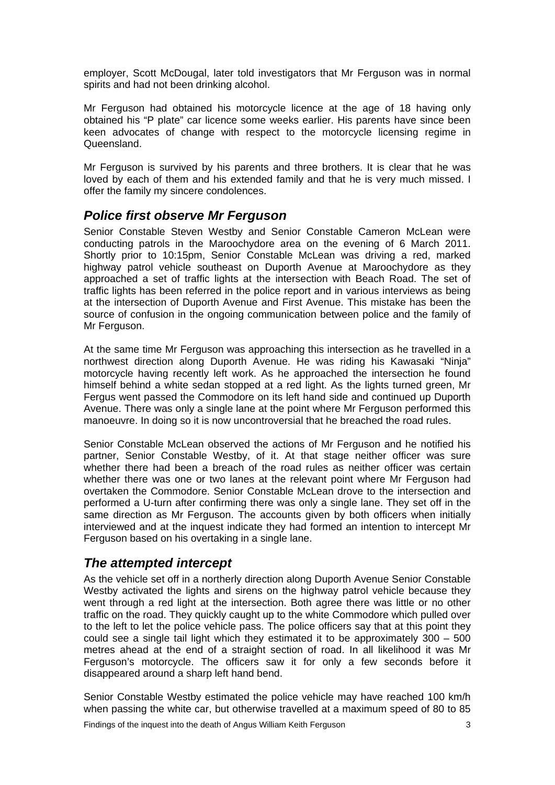employer, Scott McDougal, later told investigators that Mr Ferguson was in normal spirits and had not been drinking alcohol.

Mr Ferguson had obtained his motorcycle licence at the age of 18 having only obtained his "P plate" car licence some weeks earlier. His parents have since been keen advocates of change with respect to the motorcycle licensing regime in Queensland.

Mr Ferguson is survived by his parents and three brothers. It is clear that he was loved by each of them and his extended family and that he is very much missed. I offer the family my sincere condolences.

#### <span id="page-4-0"></span>*Police first observe Mr Ferguson*

Senior Constable Steven Westby and Senior Constable Cameron McLean were conducting patrols in the Maroochydore area on the evening of 6 March 2011. Shortly prior to 10:15pm, Senior Constable McLean was driving a red, marked highway patrol vehicle southeast on Duporth Avenue at Maroochydore as they approached a set of traffic lights at the intersection with Beach Road. The set of traffic lights has been referred in the police report and in various interviews as being at the intersection of Duporth Avenue and First Avenue. This mistake has been the source of confusion in the ongoing communication between police and the family of Mr Ferguson.

At the same time Mr Ferguson was approaching this intersection as he travelled in a northwest direction along Duporth Avenue. He was riding his Kawasaki "Ninja" motorcycle having recently left work. As he approached the intersection he found himself behind a white sedan stopped at a red light. As the lights turned green, Mr Fergus went passed the Commodore on its left hand side and continued up Duporth Avenue. There was only a single lane at the point where Mr Ferguson performed this manoeuvre. In doing so it is now uncontroversial that he breached the road rules.

Senior Constable McLean observed the actions of Mr Ferguson and he notified his partner, Senior Constable Westby, of it. At that stage neither officer was sure whether there had been a breach of the road rules as neither officer was certain whether there was one or two lanes at the relevant point where Mr Ferguson had overtaken the Commodore. Senior Constable McLean drove to the intersection and performed a U-turn after confirming there was only a single lane. They set off in the same direction as Mr Ferguson. The accounts given by both officers when initially interviewed and at the inquest indicate they had formed an intention to intercept Mr Ferguson based on his overtaking in a single lane.

#### <span id="page-4-1"></span>*The attempted intercept*

As the vehicle set off in a northerly direction along Duporth Avenue Senior Constable Westby activated the lights and sirens on the highway patrol vehicle because they went through a red light at the intersection. Both agree there was little or no other traffic on the road. They quickly caught up to the white Commodore which pulled over to the left to let the police vehicle pass. The police officers say that at this point they could see a single tail light which they estimated it to be approximately 300 – 500 metres ahead at the end of a straight section of road. In all likelihood it was Mr Ferguson's motorcycle. The officers saw it for only a few seconds before it disappeared around a sharp left hand bend.

Senior Constable Westby estimated the police vehicle may have reached 100 km/h when passing the white car, but otherwise travelled at a maximum speed of 80 to 85

Findings of the inquest into the death of Angus William Keith Ferguson 3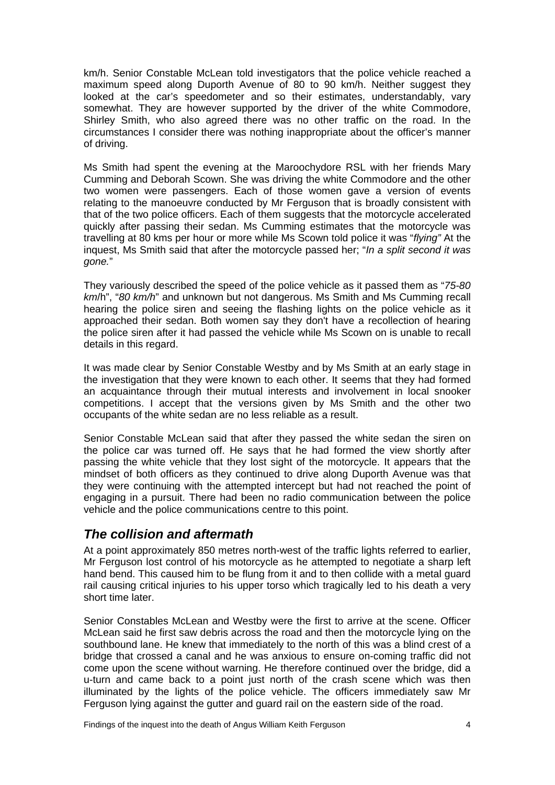km/h. Senior Constable McLean told investigators that the police vehicle reached a maximum speed along Duporth Avenue of 80 to 90 km/h. Neither suggest they looked at the car's speedometer and so their estimates, understandably, vary somewhat. They are however supported by the driver of the white Commodore, Shirley Smith, who also agreed there was no other traffic on the road. In the circumstances I consider there was nothing inappropriate about the officer's manner of driving.

Ms Smith had spent the evening at the Maroochydore RSL with her friends Mary Cumming and Deborah Scown. She was driving the white Commodore and the other two women were passengers. Each of those women gave a version of events relating to the manoeuvre conducted by Mr Ferguson that is broadly consistent with that of the two police officers. Each of them suggests that the motorcycle accelerated quickly after passing their sedan. Ms Cumming estimates that the motorcycle was travelling at 80 kms per hour or more while Ms Scown told police it was "*flying"* At the inquest, Ms Smith said that after the motorcycle passed her; "*In a split second it was gone.*"

They variously described the speed of the police vehicle as it passed them as "*75-80 km*/h", "*80 km/h*" and unknown but not dangerous. Ms Smith and Ms Cumming recall hearing the police siren and seeing the flashing lights on the police vehicle as it approached their sedan. Both women say they don't have a recollection of hearing the police siren after it had passed the vehicle while Ms Scown on is unable to recall details in this regard.

It was made clear by Senior Constable Westby and by Ms Smith at an early stage in the investigation that they were known to each other. It seems that they had formed an acquaintance through their mutual interests and involvement in local snooker competitions. I accept that the versions given by Ms Smith and the other two occupants of the white sedan are no less reliable as a result.

Senior Constable McLean said that after they passed the white sedan the siren on the police car was turned off. He says that he had formed the view shortly after passing the white vehicle that they lost sight of the motorcycle. It appears that the mindset of both officers as they continued to drive along Duporth Avenue was that they were continuing with the attempted intercept but had not reached the point of engaging in a pursuit. There had been no radio communication between the police vehicle and the police communications centre to this point.

### <span id="page-5-0"></span>*The collision and aftermath*

At a point approximately 850 metres north-west of the traffic lights referred to earlier, Mr Ferguson lost control of his motorcycle as he attempted to negotiate a sharp left hand bend. This caused him to be flung from it and to then collide with a metal guard rail causing critical injuries to his upper torso which tragically led to his death a very short time later.

Senior Constables McLean and Westby were the first to arrive at the scene. Officer McLean said he first saw debris across the road and then the motorcycle lying on the southbound lane. He knew that immediately to the north of this was a blind crest of a bridge that crossed a canal and he was anxious to ensure on-coming traffic did not come upon the scene without warning. He therefore continued over the bridge, did a u-turn and came back to a point just north of the crash scene which was then illuminated by the lights of the police vehicle. The officers immediately saw Mr Ferguson lying against the gutter and guard rail on the eastern side of the road.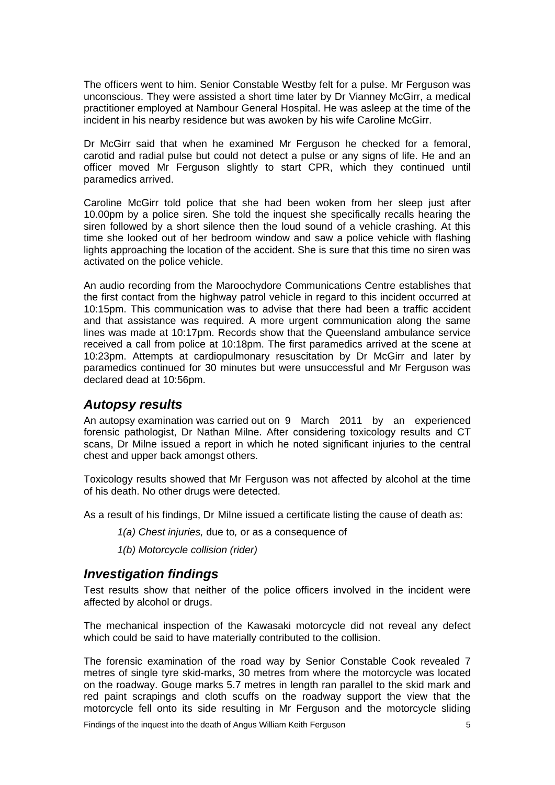The officers went to him. Senior Constable Westby felt for a pulse. Mr Ferguson was unconscious. They were assisted a short time later by Dr Vianney McGirr, a medical practitioner employed at Nambour General Hospital. He was asleep at the time of the incident in his nearby residence but was awoken by his wife Caroline McGirr.

Dr McGirr said that when he examined Mr Ferguson he checked for a femoral, carotid and radial pulse but could not detect a pulse or any signs of life. He and an officer moved Mr Ferguson slightly to start CPR, which they continued until paramedics arrived.

Caroline McGirr told police that she had been woken from her sleep just after 10.00pm by a police siren. She told the inquest she specifically recalls hearing the siren followed by a short silence then the loud sound of a vehicle crashing. At this time she looked out of her bedroom window and saw a police vehicle with flashing lights approaching the location of the accident. She is sure that this time no siren was activated on the police vehicle.

An audio recording from the Maroochydore Communications Centre establishes that the first contact from the highway patrol vehicle in regard to this incident occurred at 10:15pm. This communication was to advise that there had been a traffic accident and that assistance was required. A more urgent communication along the same lines was made at 10:17pm. Records show that the Queensland ambulance service received a call from police at 10:18pm. The first paramedics arrived at the scene at 10:23pm. Attempts at cardiopulmonary resuscitation by Dr McGirr and later by paramedics continued for 30 minutes but were unsuccessful and Mr Ferguson was declared dead at 10:56pm.

#### <span id="page-6-0"></span>*Autopsy results*

An autopsy examination was carried out on 9 March 2011 by an experienced forensic pathologist, Dr Nathan Milne. After considering toxicology results and CT scans, Dr Milne issued a report in which he noted significant injuries to the central chest and upper back amongst others.

Toxicology results showed that Mr Ferguson was not affected by alcohol at the time of his death. No other drugs were detected.

As a result of his findings, Dr Milne issued a certificate listing the cause of death as:

- *1(a) Chest injuries,* due to*,* or as a consequence of
- *1(b) Motorcycle collision (rider)*

#### <span id="page-6-1"></span>*Investigation findings*

Test results show that neither of the police officers involved in the incident were affected by alcohol or drugs.

The mechanical inspection of the Kawasaki motorcycle did not reveal any defect which could be said to have materially contributed to the collision.

The forensic examination of the road way by Senior Constable Cook revealed 7 metres of single tyre skid-marks, 30 metres from where the motorcycle was located on the roadway. Gouge marks 5.7 metres in length ran parallel to the skid mark and red paint scrapings and cloth scuffs on the roadway support the view that the motorcycle fell onto its side resulting in Mr Ferguson and the motorcycle sliding

Findings of the inquest into the death of Angus William Keith Ferguson 5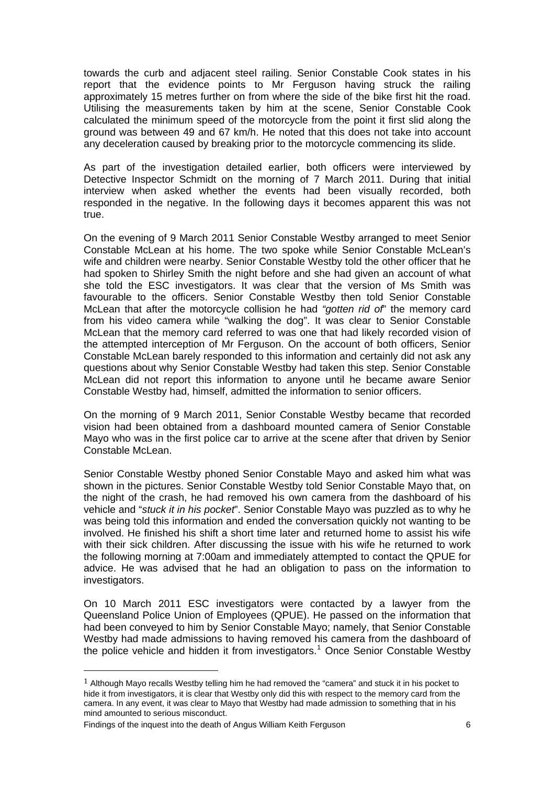towards the curb and adjacent steel railing. Senior Constable Cook states in his report that the evidence points to Mr Ferguson having struck the railing approximately 15 metres further on from where the side of the bike first hit the road. Utilising the measurements taken by him at the scene, Senior Constable Cook calculated the minimum speed of the motorcycle from the point it first slid along the ground was between 49 and 67 km/h. He noted that this does not take into account any deceleration caused by breaking prior to the motorcycle commencing its slide.

As part of the investigation detailed earlier, both officers were interviewed by Detective Inspector Schmidt on the morning of 7 March 2011. During that initial interview when asked whether the events had been visually recorded, both responded in the negative. In the following days it becomes apparent this was not true.

On the evening of 9 March 2011 Senior Constable Westby arranged to meet Senior Constable McLean at his home. The two spoke while Senior Constable McLean's wife and children were nearby. Senior Constable Westby told the other officer that he had spoken to Shirley Smith the night before and she had given an account of what she told the ESC investigators. It was clear that the version of Ms Smith was favourable to the officers. Senior Constable Westby then told Senior Constable McLean that after the motorcycle collision he had *"gotten rid of*" the memory card from his video camera while "walking the dog". It was clear to Senior Constable McLean that the memory card referred to was one that had likely recorded vision of the attempted interception of Mr Ferguson. On the account of both officers, Senior Constable McLean barely responded to this information and certainly did not ask any questions about why Senior Constable Westby had taken this step. Senior Constable McLean did not report this information to anyone until he became aware Senior Constable Westby had, himself, admitted the information to senior officers.

On the morning of 9 March 2011, Senior Constable Westby became that recorded vision had been obtained from a dashboard mounted camera of Senior Constable Mayo who was in the first police car to arrive at the scene after that driven by Senior Constable McLean.

Senior Constable Westby phoned Senior Constable Mayo and asked him what was shown in the pictures. Senior Constable Westby told Senior Constable Mayo that, on the night of the crash, he had removed his own camera from the dashboard of his vehicle and "*stuck it in his pocket*". Senior Constable Mayo was puzzled as to why he was being told this information and ended the conversation quickly not wanting to be involved. He finished his shift a short time later and returned home to assist his wife with their sick children. After discussing the issue with his wife he returned to work the following morning at 7:00am and immediately attempted to contact the QPUE for advice. He was advised that he had an obligation to pass on the information to investigators.

On 10 March 2011 ESC investigators were contacted by a lawyer from the Queensland Police Union of Employees (QPUE). He passed on the information that had been conveyed to him by Senior Constable Mayo; namely, that Senior Constable Westby had made admissions to having removed his camera from the dashboard of the police vehicle and hidden it from investigators. [1](#page-2-2) Once Senior Constable Westby

÷,

 $1$  Although Mayo recalls Westby telling him he had removed the "camera" and stuck it in his pocket to hide it from investigators, it is clear that Westby only did this with respect to the memory card from the camera. In any event, it was clear to Mayo that Westby had made admission to something that in his mind amounted to serious misconduct.

<span id="page-7-0"></span>Findings of the inquest into the death of Angus William Keith Ferguson 6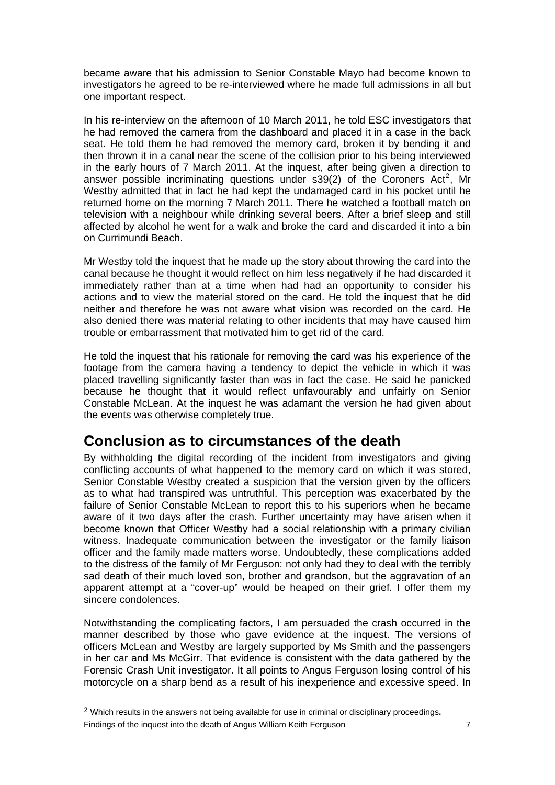became aware that his admission to Senior Constable Mayo had become known to investigators he agreed to be re-interviewed where he made full admissions in all but one important respect.

In his re-interview on the afternoon of 10 March 2011, he told ESC investigators that he had removed the camera from the dashboard and placed it in a case in the back seat. He told them he had removed the memory card, broken it by bending it and then thrown it in a canal near the scene of the collision prior to his being interviewed in the early hours of 7 March 2011. At the inquest, after being given a direction to answer possible incriminating questions under s39([2](#page-7-0)) of the Coroners Act<sup>2</sup>, Mr Westby admitted that in fact he had kept the undamaged card in his pocket until he returned home on the morning 7 March 2011. There he watched a football match on television with a neighbour while drinking several beers. After a brief sleep and still affected by alcohol he went for a walk and broke the card and discarded it into a bin on Currimundi Beach.

Mr Westby told the inquest that he made up the story about throwing the card into the canal because he thought it would reflect on him less negatively if he had discarded it immediately rather than at a time when had had an opportunity to consider his actions and to view the material stored on the card. He told the inquest that he did neither and therefore he was not aware what vision was recorded on the card. He also denied there was material relating to other incidents that may have caused him trouble or embarrassment that motivated him to get rid of the card.

He told the inquest that his rationale for removing the card was his experience of the footage from the camera having a tendency to depict the vehicle in which it was placed travelling significantly faster than was in fact the case. He said he panicked because he thought that it would reflect unfavourably and unfairly on Senior Constable McLean. At the inquest he was adamant the version he had given about the events was otherwise completely true.

### <span id="page-8-0"></span>**Conclusion as to circumstances of the death**

By withholding the digital recording of the incident from investigators and giving conflicting accounts of what happened to the memory card on which it was stored, Senior Constable Westby created a suspicion that the version given by the officers as to what had transpired was untruthful. This perception was exacerbated by the failure of Senior Constable McLean to report this to his superiors when he became aware of it two days after the crash. Further uncertainty may have arisen when it become known that Officer Westby had a social relationship with a primary civilian witness. Inadequate communication between the investigator or the family liaison officer and the family made matters worse. Undoubtedly, these complications added to the distress of the family of Mr Ferguson: not only had they to deal with the terribly sad death of their much loved son, brother and grandson, but the aggravation of an apparent attempt at a "cover-up" would be heaped on their grief. I offer them my sincere condolences.

Forensic Crash Unit investigator. It all points to Angus Ferguson losing control of his motorcycle on a sharp bend a s a result of his inexperience and excessive speed. In Notwithstanding the complicating factors, I am persuaded the crash occurred in the manner described by those who gave evidence at the inquest. The versions of officers McLean and Westby are largely supported by Ms Smith and the passengers in her car and Ms McGirr. That evidence is consistent with the data gathered by the

÷,

Fi ndings of the inquest into the death of Angus William Keith Ferguson 7  $<sup>2</sup>$  Which results in the answers not being available for use in criminal or disciplinary proceedings.</sup>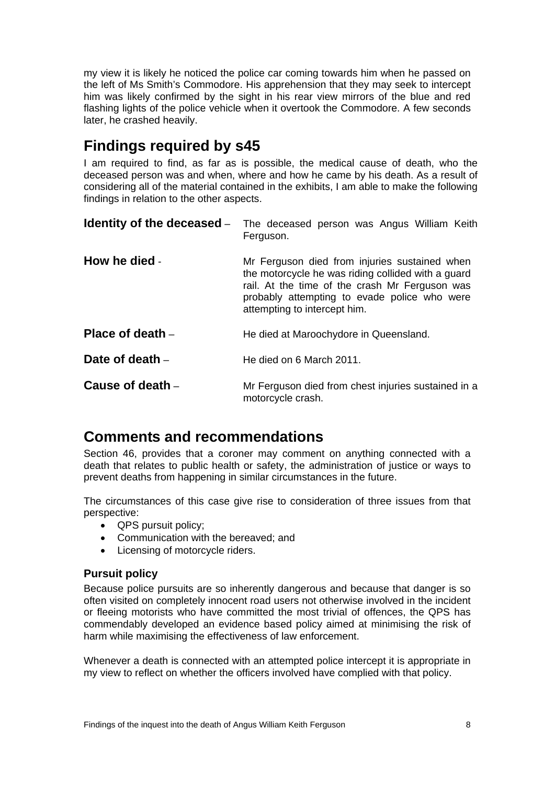my view it is likely he noticed the police car coming towards him when he passed on the left of Ms Smith's Commodore. His apprehension that they may seek to intercept him was likely confirmed by the sight in his rear view mirrors of the blue and red flashing lights of the police vehicle when it overtook the Commodore. A few seconds later, he crashed heavily.

### <span id="page-9-0"></span>**Findings required by s45**

I am required to find, as far as is possible, the medical cause of death, who the deceased person was and when, where and how he came by his death. As a result of considering all of the material contained in the exhibits, I am able to make the following findings in relation to the other aspects.

<span id="page-9-2"></span><span id="page-9-1"></span>

|                  | <b>Identity of the deceased</b> - The deceased person was Angus William Keith<br>Ferguson.                                                                                                                                            |
|------------------|---------------------------------------------------------------------------------------------------------------------------------------------------------------------------------------------------------------------------------------|
| How he died -    | Mr Ferguson died from injuries sustained when<br>the motorcycle he was riding collided with a guard<br>rail. At the time of the crash Mr Ferguson was<br>probably attempting to evade police who were<br>attempting to intercept him. |
| Place of death - | He died at Maroochydore in Queensland.                                                                                                                                                                                                |
| Date of death -  | He died on 6 March 2011.                                                                                                                                                                                                              |
| Cause of death - | Mr Ferguson died from chest injuries sustained in a<br>motorcycle crash.                                                                                                                                                              |

### <span id="page-9-6"></span><span id="page-9-5"></span><span id="page-9-4"></span><span id="page-9-3"></span>**Comments and recommendations**

Section 46, provides that a coroner may comment on anything connected with a death that relates to public health or safety, the administration of justice or ways to prevent deaths from happening in similar circumstances in the future.

The circumstances of this case give rise to consideration of three issues from that perspective:

- QPS pursuit policy;
- Communication with the bereaved: and
- Licensing of motorcycle riders.

#### <span id="page-9-7"></span>**Pursuit policy**

Because police pursuits are so inherently dangerous and because that danger is so often visited on completely innocent road users not otherwise involved in the incident or fleeing motorists who have committed the most trivial of offences, the QPS has ommendably developed an evidence based policy aimed at minimising the risk of c harm while maximising the effectiveness of law enforcement.

Whenever a death is connected with an attempted police intercept it is appropriate in my view to reflect on whether the officers involved have complied with that policy.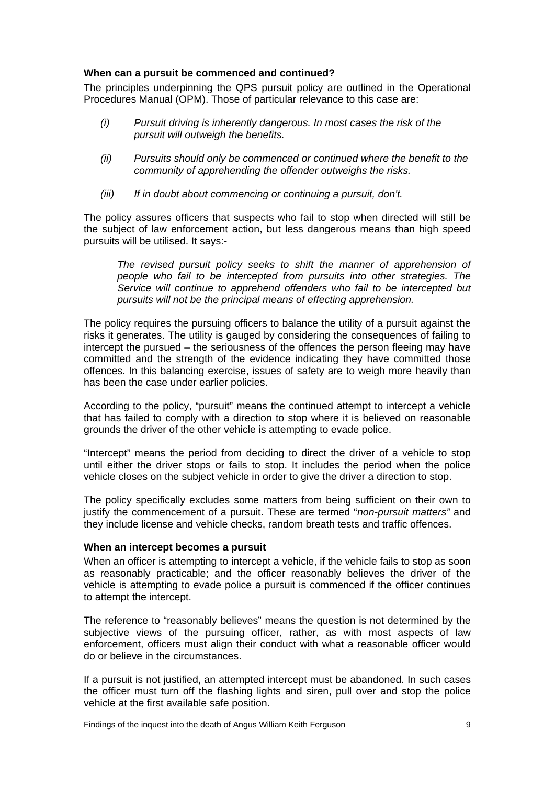#### <span id="page-10-0"></span>**When can a pursuit be commenced and continued?**

The principles underpinning the QPS pursuit policy are outlined in the Operational Procedures Manual (OPM). Those of particular relevance to this case are:

- *(i) Pursuit driving is inherently dangerous. In most cases the risk of the pursuit will outweigh the benefits.*
- *(ii) Pursuits should only be commenced or continued where the benefit to the community of apprehending the offender outweighs the risks.*
- *(iii) If in doubt about commencing or continuing a pursuit, don't.*

The policy assures officers that suspects who fail to stop when directed will still be the subject of law enforcement action, but less dangerous means than high speed pursuits will be utilised. It says:-

*The revised pursuit policy seeks to shift the manner of apprehension of people who fail to be intercepted from pursuits into other strategies. The Service will continue to apprehend offenders who fail to be intercepted but pursuits will not be the principal means of effecting apprehension.* 

The policy requires the pursuing officers to balance the utility of a pursuit against the risks it generates. The utility is gauged by considering the consequences of failing to intercept the pursued – the seriousness of the offences the person fleeing may have committed and the strength of the evidence indicating they have committed those offences. In this balancing exercise, issues of safety are to weigh more heavily than has been the case under earlier policies.

According to the policy, "pursuit" means the continued attempt to intercept a vehicle that has failed to comply with a direction to stop where it is believed on reasonable grounds the driver of the other vehicle is attempting to evade police.

"Intercept" means the period from deciding to direct the driver of a vehicle to stop until either the driver stops or fails to stop. It includes the period when the police vehicle closes on the subject vehicle in order to give the driver a direction to stop.

The policy specifically excludes some matters from being sufficient on their own to justify the commencement of a pursuit. These are termed "*non-pursuit matters"* and they include license and vehicle checks, random breath tests and traffic offences.

#### <span id="page-10-1"></span>**When an intercept becomes a pursuit**

When an officer is attempting to intercept a vehicle, if the vehicle fails to stop as soon as reasonably practicable; and the officer reasonably believes the driver of the vehicle is attempting to evade police a pursuit is commenced if the officer continues to attempt the intercept.

The reference to "reasonably believes" means the question is not determined by the subjective views of the pursuing officer, rather, as with most aspects of law enforcement, officers must align their conduct with what a reasonable officer would do or believe in the circumstances.

If a pursuit is not justified, an attempted intercept must be abandoned. In such cases the officer must turn off the flashing lights and siren, pull over and stop the police vehicle at the first available safe position.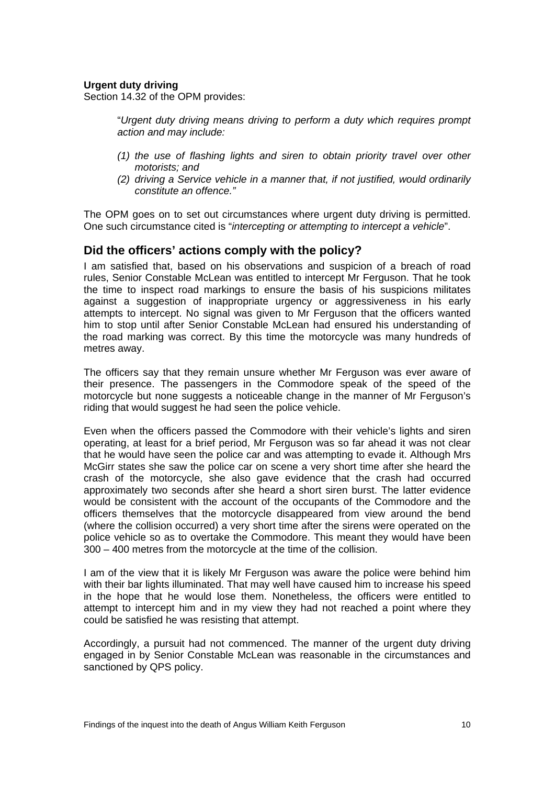#### **Urgent duty driving**

Section 14.32 of the OPM provides:

"*Urgent duty driving means driving to perform a duty which requires prompt action and may include:* 

- *(1) the use of flashing lights and siren to obtain priority travel over other motorists; and*
- *(2) driving a Service vehicle in a manner that, if not justified, would ordinarily constitute an offence."*

The OPM goes on to set out circumstances where urgent duty driving is permitted. One such circumstance cited is "*intercepting or attempting to intercept a vehicle*".

#### <span id="page-11-0"></span>**Did the officers' actions comply with the policy?**

I am satisfied that, based on his observations and suspicion of a breach of road rules, Senior Constable McLean was entitled to intercept Mr Ferguson. That he took the time to inspect road markings to ensure the basis of his suspicions militates against a suggestion of inappropriate urgency or aggressiveness in his early attempts to intercept. No signal was given to Mr Ferguson that the officers wanted him to stop until after Senior Constable McLean had ensured his understanding of the road marking was correct. By this time the motorcycle was many hundreds of metres away.

The officers say that they remain unsure whether Mr Ferguson was ever aware of their presence. The passengers in the Commodore speak of the speed of the motorcycle but none suggests a noticeable change in the manner of Mr Ferguson's riding that would suggest he had seen the police vehicle.

Even when the officers passed the Commodore with their vehicle's lights and siren operating, at least for a brief period, Mr Ferguson was so far ahead it was not clear that he would have seen the police car and was attempting to evade it. Although Mrs McGirr states she saw the police car on scene a very short time after she heard the crash of the motorcycle, she also gave evidence that the crash had occurred approximately two seconds after she heard a short siren burst. The latter evidence would be consistent with the account of the occupants of the Commodore and the officers themselves that the motorcycle disappeared from view around the bend (where the collision occurred) a very short time after the sirens were operated on the police vehicle so as to overtake the Commodore. This meant they would have been 300 – 400 metres from the motorcycle at the time of the collision.

I am of the view that it is likely Mr Ferguson was aware the police were behind him with their bar lights illuminated. That may well have caused him to increase his speed in the hope that he would lose them. Nonetheless, the officers were entitled to attempt to intercept him and in my view they had not reached a point where they could be satisfied he was resisting that attempt.

Accordingly, a pursuit had not commenced. The manner of the urgent duty driving engaged in by Senior Constable McLean was reasonable in the circumstances and sanctioned by QPS policy.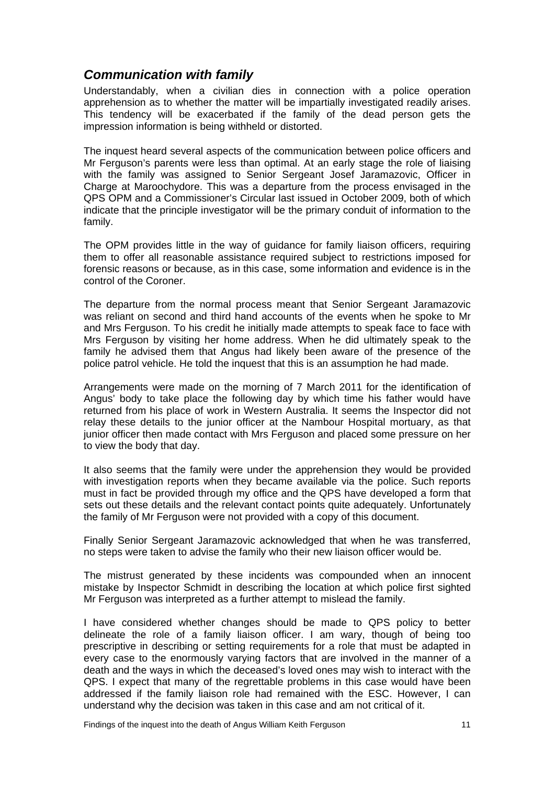### <span id="page-12-0"></span>*Communication with family*

Understandably, when a civilian dies in connection with a police operation apprehension as to whether the matter will be impartially investigated readily arises. This tendency will be exacerbated if the family of the dead person gets the mpression information is being withheld or distorted. i

The inquest heard several aspects of the communication between police officers and Mr Ferguson's parents were less than optimal. At an early stage the role of liaising with the family was assigned to Senior Sergeant Josef Jaramazovic, Officer in Charge at Maroochydore. This was a departure from the process envisaged in the QPS OPM and a Commissioner's Circular last issued in October 2009, both of which indicate that the principle investigator will be the primary conduit of information to the family.

The OPM provides little in the way of guidance for family liaison officers, requiring them to offer all reasonable assistance required subject to restrictions imposed for forensic reasons or because, as in this case, some information and evidence is in the control of the Coroner.

The departure from the normal process meant that Senior Sergeant Jaramazovic was reliant on second and third hand accounts of the events when he spoke to Mr and Mrs Ferguson. To his credit he initially made attempts to speak face to face with Mrs Ferguson by visiting her home address. When he did ultimately speak to the family he advised them that Angus had likely been aware of the presence of the police patrol vehicle. He told the inquest that this is an assumption he had made.

Arrangements were made on the morning of 7 March 2011 for the identification of Angus' body to take place the following day by which time his father would have returned from his place of work in Western Australia. It seems the Inspector did not relay these details to the junior officer at the Nambour Hospital mortuary, as that junior officer then made contact with Mrs Ferguson and placed some pressure on her to view the body that day.

It also seems that the family were under the apprehension they would be provided with investigation reports when they became available via the police. Such reports must in fact be provided through my office and the QPS have developed a form that sets out these details and the relevant contact points quite adequately. Unfortunately the family of Mr Ferguson were not provided with a copy of this document.

Finally Senior Sergeant Jaramazovic acknowledged that when he was transferred, no steps were taken to advise the family who their new liaison officer would be.

The mistrust generated by these incidents was compounded when an innocent mistake by Inspector Schmidt in describing the location at which police first sighted Mr Ferguson was interpreted as a further attempt to mislead the family.

I have considered whether changes should be made to QPS policy to better delineate the role of a family liaison officer. I am wary, though of being too prescriptive in describing or setting requirements for a role that must be adapted in every case to the enormously varying factors that are involved in the manner of a death and the ways in which the deceased's loved ones may wish to interact with the QPS. I expect that many of the regrettable problems in this case would have been addressed if the family liaison role had remained with the ESC. However, I can understand why the decision was taken in this case and am not critical of it.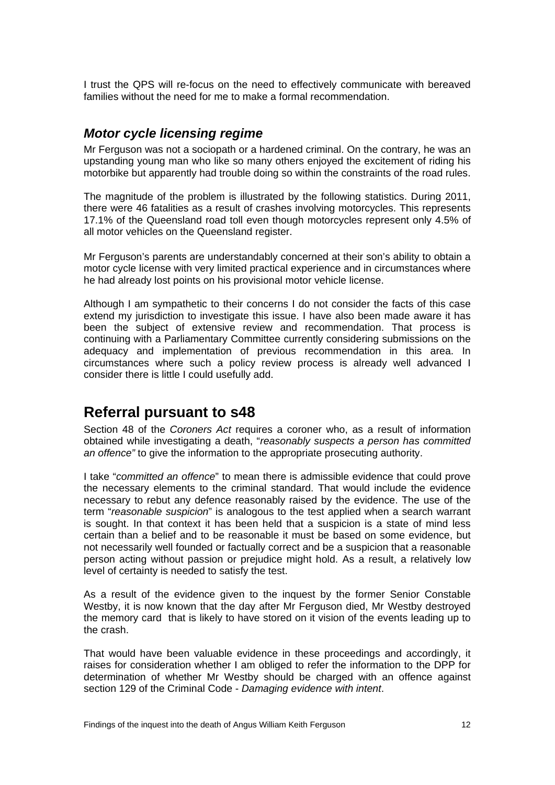I trust the QPS will re-focus on the need to effectively communicate with bereaved families without the need for me to make a formal recommendation.

### <span id="page-13-0"></span>*Motor cycle licensing regime*

Mr Ferguson was not a sociopath or a hardened criminal. On the contrary, he was an upstanding young man who like so many others enjoyed the excitement of riding his motorbike but apparently had trouble doing so within the constraints of the road rules.

The magnitude of the problem is illustrated by the following statistics. During 2011, there were 46 fatalities as a result of crashes involving motorcycles. This represents 7.1% of the Queensland road toll even though motorcycles represent only 4.5% of 1 all motor vehicles on the Queensland register.

Mr Ferguson's parents are understandably concerned at their son's ability to obtain a motor cycle license with very limited practical experience and in circumstances where he had already lost points on his provisional motor vehicle license.

Although I am sympathetic to their concerns I do not consider the facts of this case extend my jurisdiction to investigate this issue. I have also been made aware it has been the subject of extensive review and recommendation. That process is continuing with a Parliamentary Committee currently considering submissions on the adequacy and implementation of previous recommendation in this area. In circumstances where such a policy review process is already well advanced I consider there is little I could usefully add.

### <span id="page-13-1"></span>**Referral pursuant to s48**

Section 48 of the *Coroners Act* requires a coroner who, as a result of information obtained while investigating a death, "*reasonably suspects a person has committed an offence"* to give the information to the appropriate prosecuting authority.

I take "*committed an offence*" to mean there is admissible evidence that could prove the necessary elements to the criminal standard. That would include the evidence necessary to rebut any defence reasonably raised by the evidence. The use of the term "*reasonable suspicion*" is analogous to the test applied when a search warrant is sought. In that context it has been held that a suspicion is a state of mind less certain than a belief and to be reasonable it must be based on some evidence, but not necessarily well founded or factually correct and be a suspicion that a reasonable person acting without passion or prejudice might hold. As a result, a relatively low level of certainty is needed to satisfy the test.

As a result of the evidence given to the inquest by the former Senior Constable Westby, it is now known that the day after Mr Ferguson died, Mr Westby destroyed the memory card that is likely to have stored on it vision of the events leading up to the crash.

That would have been valuable evidence in these proceedings and accordingly, it raises for consideration whether I am obliged to refer the information to the DPP for determination of whether Mr Westby should be charged with an offence against section 129 of the Criminal Code - *Damaging evidence with intent*.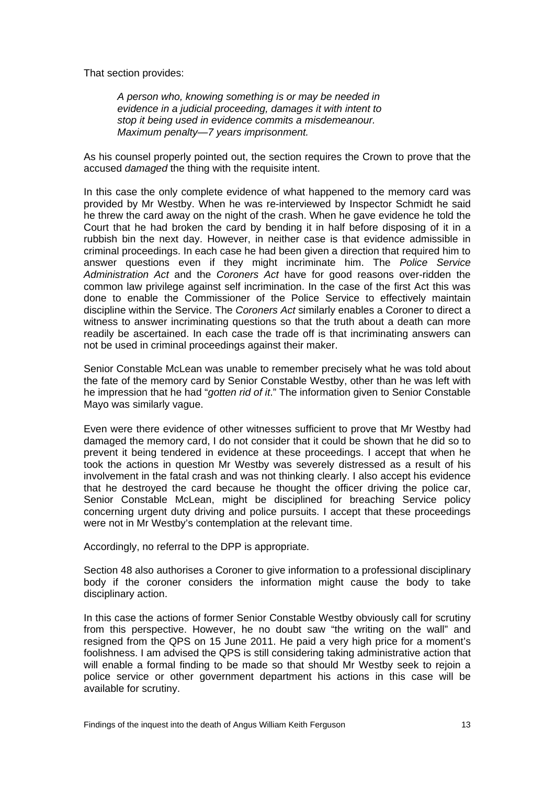That section provides:

*A person who, knowing something is or may be needed in evidence in a judicial proceeding, damages it with intent to stop it being used in evidence commits a misdemeanour. Maximum penalty—7 years imprisonment.* 

As his counsel properly pointed out, the section requires the Crown to prove that the accused *damaged* the thing with the requisite intent.

In this case the only complete evidence of what happened to the memory card was provided by Mr Westby. When he was re-interviewed by Inspector Schmidt he said he threw the card away on the night of the crash. When he gave evidence he told the Court that he had broken the card by bending it in half before disposing of it in a rubbish bin the next day. However, in neither case is that evidence admissible in criminal proceedings. In each case he had been given a direction that required him to answer questions even if they might incriminate him. The *Police Service Administration Act* and the *Coroners Act* have for good reasons over-ridden the common law privilege against self incrimination. In the case of the first Act this was done to enable the Commissioner of the Police Service to effectively maintain discipline within the Service. The *Coroners Act* similarly enables a Coroner to direct a witness to answer incriminating questions so that the truth about a death can more readily be ascertained. In each case the trade off is that incriminating answers can not be used in criminal proceedings against their maker.

Senior Constable McLean was unable to remember precisely what he was told about the fate of the memory card by Senior Constable Westby, other than he was left with he impression that he had "*gotten rid of it*." The information given to Senior Constable Mayo was similarly vague.

Even were there evidence of other witnesses sufficient to prove that Mr Westby had damaged the memory card, I do not consider that it could be shown that he did so to prevent it being tendered in evidence at these proceedings. I accept that when he took the actions in question Mr Westby was severely distressed as a result of his involvement in the fatal crash and was not thinking clearly. I also accept his evidence that he destroyed the card because he thought the officer driving the police car, Senior Constable McLean, might be disciplined for breaching Service policy concerning urgent duty driving and police pursuits. I accept that these proceedings were not in Mr Westby's contemplation at the relevant time.

Accordingly, no referral to the DPP is appropriate.

Section 48 also authorises a Coroner to give information to a professional disciplinary body if the coroner considers the information might cause the body to take disciplinary action.

In this case the actions of former Senior Constable Westby obviously call for scrutiny from this perspective. However, he no doubt saw "the writing on the wall" and resigned from the QPS on 15 June 2011. He paid a very high price for a moment's foolishness. I am advised the QPS is still considering taking administrative action that will enable a formal finding to be made so that should Mr Westby seek to rejoin a police service or other government department his actions in this case will be available for scrutiny.